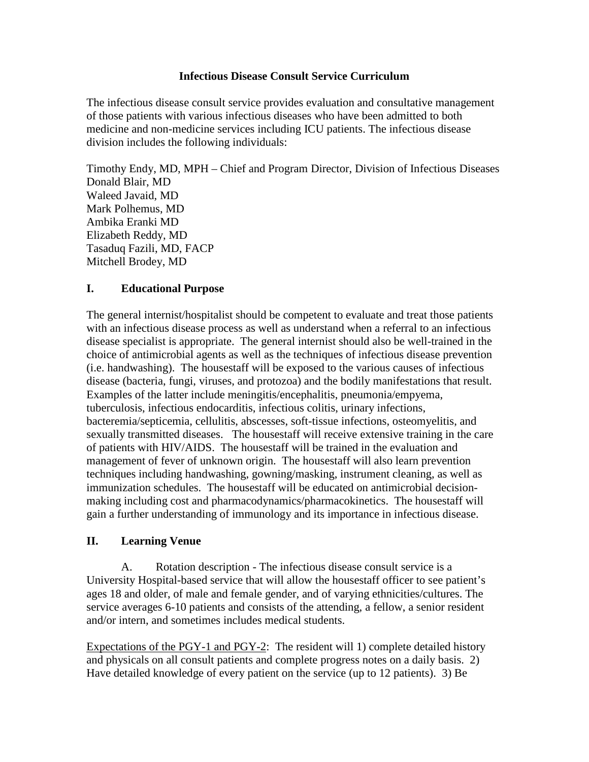### **Infectious Disease Consult Service Curriculum**

The infectious disease consult service provides evaluation and consultative management of those patients with various infectious diseases who have been admitted to both medicine and non-medicine services including ICU patients. The infectious disease division includes the following individuals:

Timothy Endy, MD, MPH – Chief and Program Director, Division of Infectious Diseases Donald Blair, MD Waleed Javaid, MD Mark Polhemus, MD Ambika Eranki MD Elizabeth Reddy, MD Tasaduq Fazili, MD, FACP Mitchell Brodey, MD

### **I. Educational Purpose**

The general internist/hospitalist should be competent to evaluate and treat those patients with an infectious disease process as well as understand when a referral to an infectious disease specialist is appropriate. The general internist should also be well-trained in the choice of antimicrobial agents as well as the techniques of infectious disease prevention (i.e. handwashing). The housestaff will be exposed to the various causes of infectious disease (bacteria, fungi, viruses, and protozoa) and the bodily manifestations that result. Examples of the latter include meningitis/encephalitis, pneumonia/empyema, tuberculosis, infectious endocarditis, infectious colitis, urinary infections, bacteremia/septicemia, cellulitis, abscesses, soft-tissue infections, osteomyelitis, and sexually transmitted diseases. The housestaff will receive extensive training in the care of patients with HIV/AIDS. The housestaff will be trained in the evaluation and management of fever of unknown origin. The housestaff will also learn prevention techniques including handwashing, gowning/masking, instrument cleaning, as well as immunization schedules. The housestaff will be educated on antimicrobial decisionmaking including cost and pharmacodynamics/pharmacokinetics. The housestaff will gain a further understanding of immunology and its importance in infectious disease.

## **II. Learning Venue**

A. Rotation description - The infectious disease consult service is a University Hospital-based service that will allow the housestaff officer to see patient's ages 18 and older, of male and female gender, and of varying ethnicities/cultures. The service averages 6-10 patients and consists of the attending, a fellow, a senior resident and/or intern, and sometimes includes medical students.

Expectations of the PGY-1 and PGY-2: The resident will 1) complete detailed history and physicals on all consult patients and complete progress notes on a daily basis. 2) Have detailed knowledge of every patient on the service (up to 12 patients). 3) Be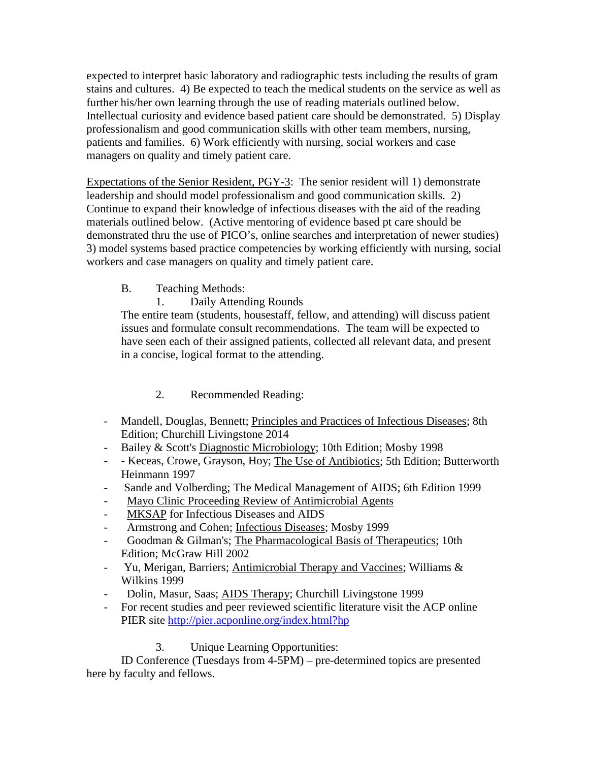expected to interpret basic laboratory and radiographic tests including the results of gram stains and cultures. 4) Be expected to teach the medical students on the service as well as further his/her own learning through the use of reading materials outlined below. Intellectual curiosity and evidence based patient care should be demonstrated. 5) Display professionalism and good communication skills with other team members, nursing, patients and families. 6) Work efficiently with nursing, social workers and case managers on quality and timely patient care.

Expectations of the Senior Resident, PGY-3: The senior resident will 1) demonstrate leadership and should model professionalism and good communication skills. 2) Continue to expand their knowledge of infectious diseases with the aid of the reading materials outlined below. (Active mentoring of evidence based pt care should be demonstrated thru the use of PICO's, online searches and interpretation of newer studies) 3) model systems based practice competencies by working efficiently with nursing, social workers and case managers on quality and timely patient care.

- B. Teaching Methods:
	- 1. Daily Attending Rounds

The entire team (students, housestaff, fellow, and attending) will discuss patient issues and formulate consult recommendations. The team will be expected to have seen each of their assigned patients, collected all relevant data, and present in a concise, logical format to the attending.

# 2. Recommended Reading:

- Mandell, Douglas, Bennett; Principles and Practices of Infectious Diseases; 8th Edition; Churchill Livingstone 2014
- Bailey & Scott's Diagnostic Microbiology; 10th Edition; Mosby 1998
- - Keceas, Crowe, Grayson, Hoy; The Use of Antibiotics; 5th Edition; Butterworth Heinmann 1997
- Sande and Volberding; The Medical Management of AIDS; 6th Edition 1999
- Mayo Clinic Proceeding Review of Antimicrobial Agents
- MKSAP for Infectious Diseases and AIDS
- Armstrong and Cohen; Infectious Diseases; Mosby 1999
- Goodman & Gilman's; The Pharmacological Basis of Therapeutics; 10th Edition; McGraw Hill 2002
- Yu, Merigan, Barriers; Antimicrobial Therapy and Vaccines; Williams & Wilkins 1999
- Dolin, Masur, Saas; AIDS Therapy; Churchill Livingstone 1999
- For recent studies and peer reviewed scientific literature visit the ACP online PIER site<http://pier.acponline.org/index.html?hp>

## 3. Unique Learning Opportunities:

ID Conference (Tuesdays from 4-5PM) – pre-determined topics are presented here by faculty and fellows.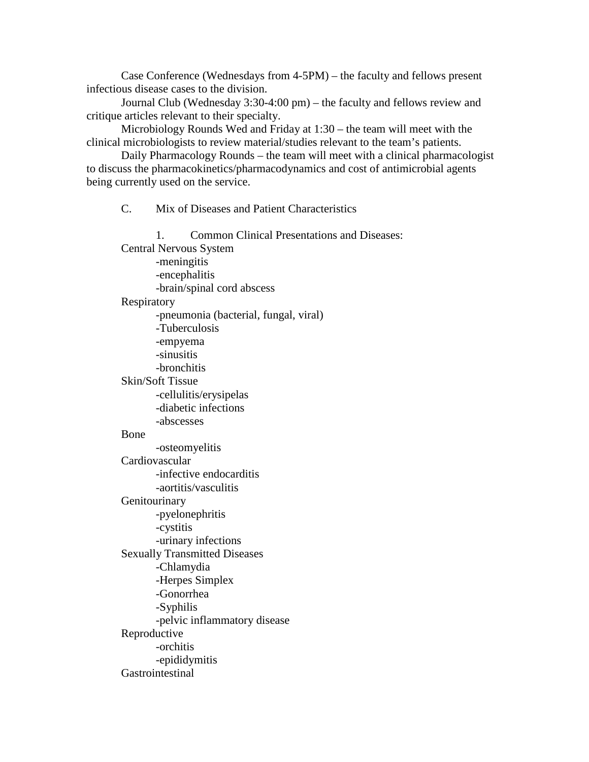Case Conference (Wednesdays from 4-5PM) – the faculty and fellows present infectious disease cases to the division.

Journal Club (Wednesday 3:30-4:00 pm) – the faculty and fellows review and critique articles relevant to their specialty.

Microbiology Rounds Wed and Friday at 1:30 – the team will meet with the clinical microbiologists to review material/studies relevant to the team's patients.

Daily Pharmacology Rounds – the team will meet with a clinical pharmacologist to discuss the pharmacokinetics/pharmacodynamics and cost of antimicrobial agents being currently used on the service.

C. Mix of Diseases and Patient Characteristics

1. Common Clinical Presentations and Diseases: Central Nervous System -meningitis -encephalitis -brain/spinal cord abscess Respiratory -pneumonia (bacterial, fungal, viral) -Tuberculosis -empyema -sinusitis -bronchitis Skin/Soft Tissue -cellulitis/erysipelas -diabetic infections -abscesses Bone -osteomyelitis Cardiovascular -infective endocarditis -aortitis/vasculitis **Genitourinary** -pyelonephritis -cystitis -urinary infections Sexually Transmitted Diseases -Chlamydia -Herpes Simplex -Gonorrhea -Syphilis -pelvic inflammatory disease Reproductive -orchitis -epididymitis Gastrointestinal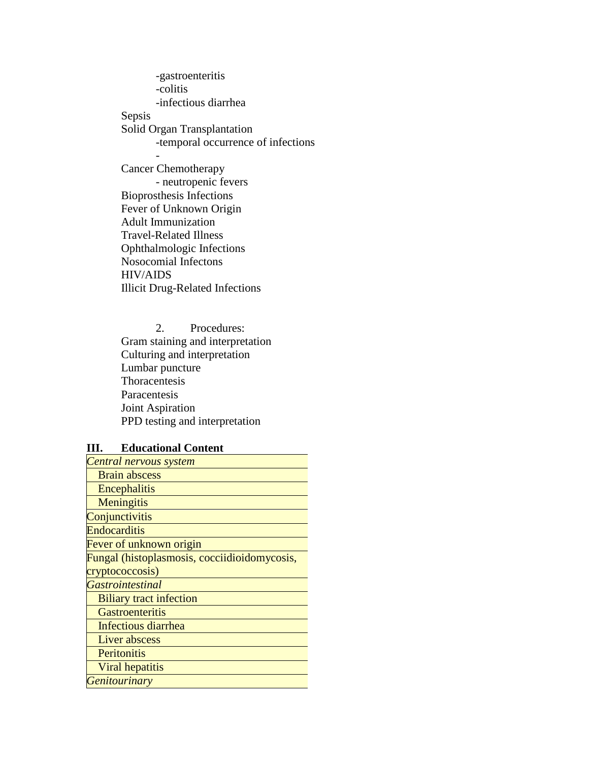-gastroenteritis -colitis -infectious diarrhea Sepsis Solid Organ Transplantation -temporal occurrence of infections - Cancer Chemotherapy - neutropenic fevers Bioprosthesis Infections

Fever of Unknown Origin Adult Immunization Travel-Related Illness Ophthalmologic Infections Nosocomial Infectons HIV/AIDS Illicit Drug-Related Infections

2. Procedures: Gram staining and interpretation Culturing and interpretation Lumbar puncture Thoracentesis Paracentesis Joint Aspiration PPD testing and interpretation

#### **III. Educational Content**

| Central nervous system                       |
|----------------------------------------------|
| <b>Brain abscess</b>                         |
| Encephalitis                                 |
| Meningitis                                   |
| Conjunctivitis                               |
| Endocarditis                                 |
| Fever of unknown origin                      |
| Fungal (histoplasmosis, cocciidioidomycosis, |
| cryptococcosis)                              |
| <b>Gastrointestinal</b>                      |
| <b>Biliary tract infection</b>               |
| <b>Gastroenteritis</b>                       |
| Infectious diarrhea                          |
| Liver abscess                                |
| Peritonitis                                  |
| Viral hepatitis                              |
| <b>Genitourinary</b>                         |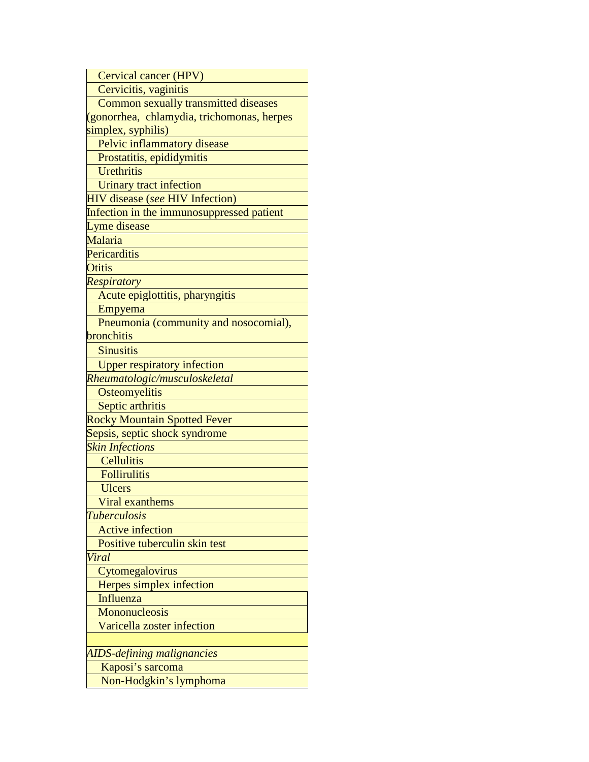Cervical cancer (HPV) Cervicitis, vaginitis Common sexually transmitted diseases (gonorrhea, chlamydia, trichomonas, herpes simplex, syphilis) Pelvic inflammatory disease Prostatitis, epididymitis **Urethritis**  Urinary tract infection HIV disease (*see* HIV Infection) Infection in the immunosuppressed patient Lyme disease Malaria **Pericarditis Otitis** *Respiratory* Acute epiglottitis, pharyngitis Empyema Pneumonia (community and nosocomial), **bronchitis Sinusitis**  Upper respiratory infection *Rheumatologic/musculoskeletal* **Osteomyelitis** Septic arthritis Rocky Mountain Spotted Fever Sepsis, septic shock syndrome *Skin Infections*  **Cellulitis Follirulitis**  Ulcers Viral exanthems *Tuberculosis* Active infection Positive tuberculin skin test *Viral* **Cytomegalovirus**  Herpes simplex infection Influenza **Mononucleosis**  Varicella zoster infection *AIDS-defining malignancies* Kaposi's sarcoma Non-Hodgkin's lymphoma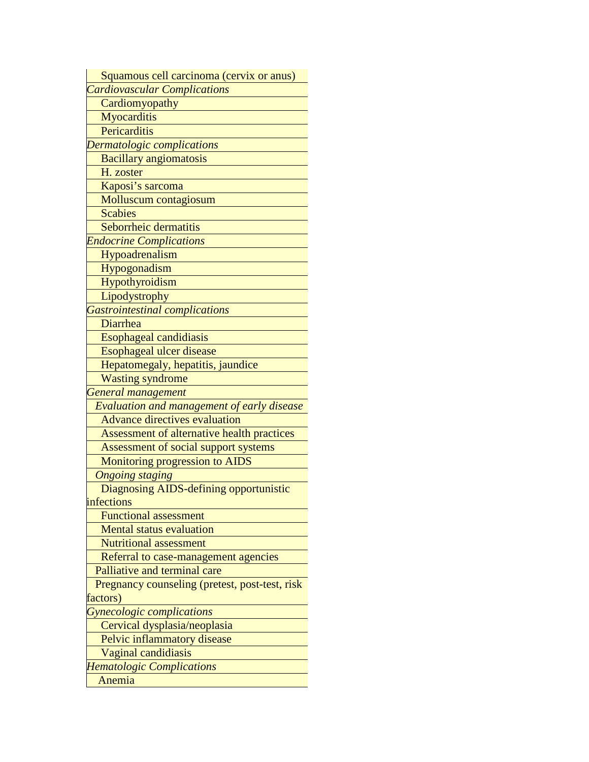Squamous cell carcinoma (cervix or anus) *Cardiovascular Complications* **Cardiomyopathy Myocarditis Pericarditis** *Dermatologic complications* Bacillary angiomatosis H. zoster Kaposi's sarcoma Molluscum contagiosum **Scabies**  Seborrheic dermatitis *Endocrine Complications* Hypoadrenalism Hypogonadism Hypothyroidism **Lipodystrophy** *Gastrointestinal complications* Diarrhea Esophageal candidiasis Esophageal ulcer disease Hepatomegaly, hepatitis, jaundice Wasting syndrome *General management Evaluation and management of early disease* Advance directives evaluation Assessment of alternative health practices Assessment of social support systems Monitoring progression to AIDS  *Ongoing staging* Diagnosing AIDS-defining opportunistic infections Functional assessment Mental status evaluation Nutritional assessment Referral to case-management agencies Palliative and terminal care Pregnancy counseling (pretest, post-test, risk factors) *Gynecologic complications* Cervical dysplasia/neoplasia Pelvic inflammatory disease Vaginal candidiasis *Hematologic Complications* Anemia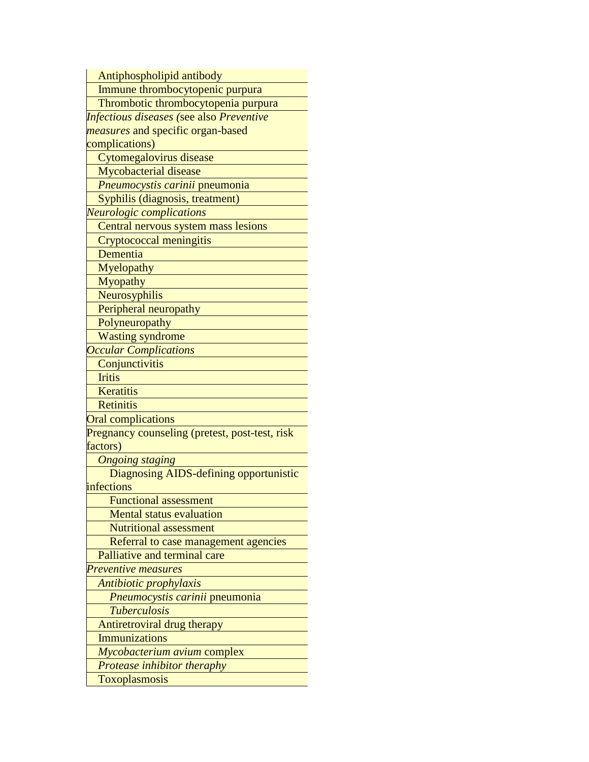Antiphospholipid antibody

Immune thrombocytopenic purpura

Thrombotic thrombocytopenia purpura

*Infectious diseases (*see also *Preventive measures* and specific organ-based complications)

Cytomegalovirus disease

Mycobacterial disease

*Pneumocystis carinii* pneumonia

Syphilis (diagnosis, treatment)

*Neurologic complications* 

Central nervous system mass lesions

Cryptococcal meningitis

Dementia

Myelopathy

**Myopathy** 

Neurosyphilis

Peripheral neuropathy

**Polyneuropathy** 

Wasting syndrome

*Occular Complications*

**Conjunctivitis** 

**Iritis** 

**Keratitis** 

**Retinitis** 

Oral complications

Pregnancy counseling (pretest, post-test, risk factors)

 *Ongoing staging*

 Diagnosing AIDS-defining opportunistic infections

Functional assessment

Mental status evaluation

Nutritional assessment

Referral to case management agencies

Palliative and terminal care

*Preventive measures* 

 *Antibiotic prophylaxis*

 *Pneumocystis carinii* pneumonia

 *Tuberculosis*

Antiretroviral drug therapy

**Immunizations** 

 *Mycobacterium avium* complex

 *Protease inhibitor theraphy*

Toxoplasmosis